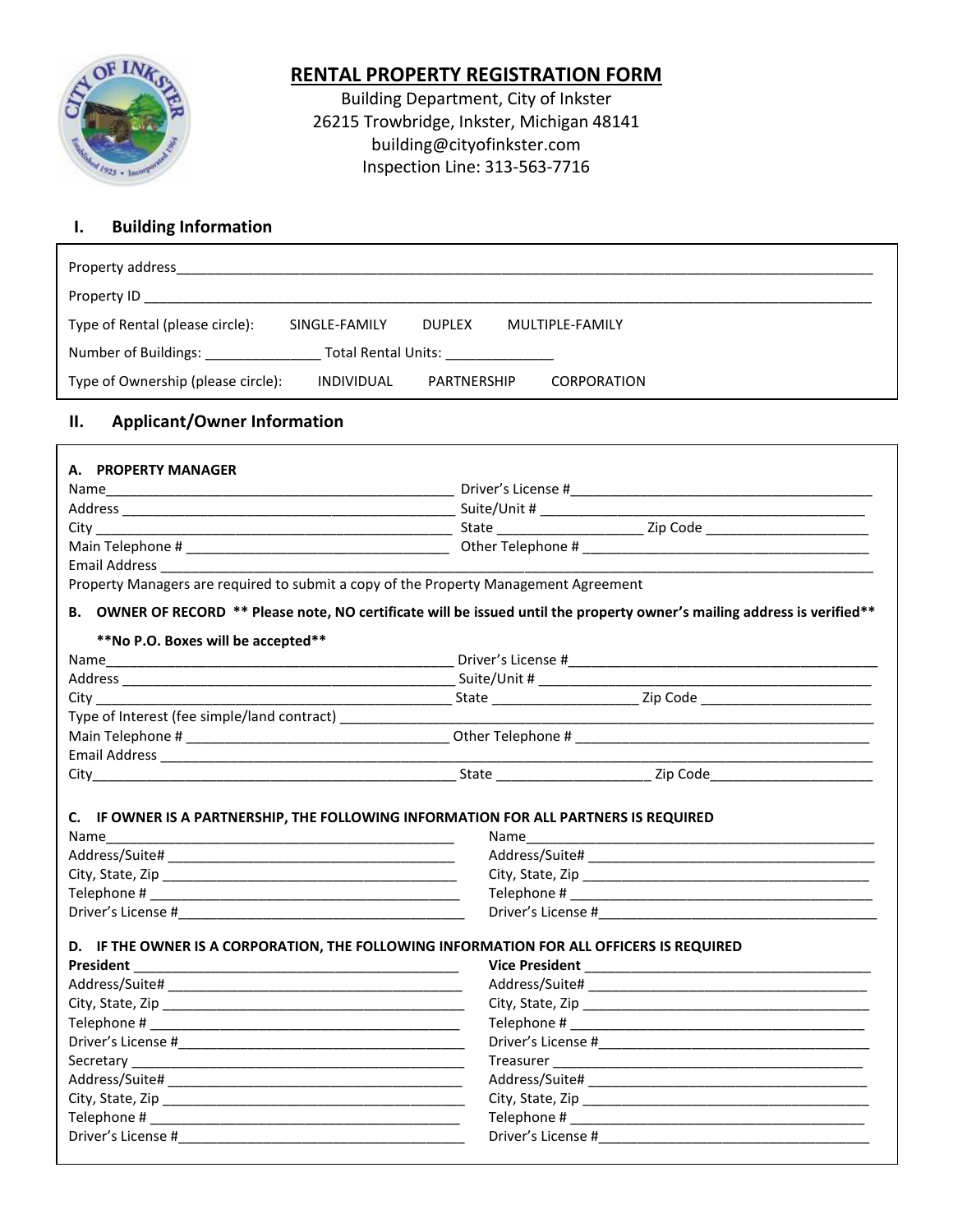

# **RENTAL PROPERTY REGISTRATION FORM**

Building Department, City of Inkster 26215 Trowbridge, Inkster, Michigan 48141 building@cityofinkster.com Inspection Line: 313-563-7716

## **I. Building Information**

| Property address                                                |               |               |  |                    |  |
|-----------------------------------------------------------------|---------------|---------------|--|--------------------|--|
| Property ID                                                     |               |               |  |                    |  |
| Type of Rental (please circle):                                 | SINGLE-FAMILY | <b>DUPLEX</b> |  | MULTIPLE-FAMILY    |  |
| Number of Buildings:<br>Total Rental Units: Total Rental Units: |               |               |  |                    |  |
| Type of Ownership (please circle):                              | INDIVIDUAL    | PARTNERSHIP   |  | <b>CORPORATION</b> |  |

### **II. Applicant/Owner Information**

| A. PROPERTY MANAGER                                                                                            |                                                                                                                                                                                                                                                                                                                                                                                                                                                                                                                                                              |  |  |  |  |
|----------------------------------------------------------------------------------------------------------------|--------------------------------------------------------------------------------------------------------------------------------------------------------------------------------------------------------------------------------------------------------------------------------------------------------------------------------------------------------------------------------------------------------------------------------------------------------------------------------------------------------------------------------------------------------------|--|--|--|--|
|                                                                                                                |                                                                                                                                                                                                                                                                                                                                                                                                                                                                                                                                                              |  |  |  |  |
|                                                                                                                |                                                                                                                                                                                                                                                                                                                                                                                                                                                                                                                                                              |  |  |  |  |
|                                                                                                                |                                                                                                                                                                                                                                                                                                                                                                                                                                                                                                                                                              |  |  |  |  |
|                                                                                                                |                                                                                                                                                                                                                                                                                                                                                                                                                                                                                                                                                              |  |  |  |  |
|                                                                                                                |                                                                                                                                                                                                                                                                                                                                                                                                                                                                                                                                                              |  |  |  |  |
|                                                                                                                | Property Managers are required to submit a copy of the Property Management Agreement                                                                                                                                                                                                                                                                                                                                                                                                                                                                         |  |  |  |  |
|                                                                                                                | B. OWNER OF RECORD ** Please note, NO certificate will be issued until the property owner's mailing address is verified**                                                                                                                                                                                                                                                                                                                                                                                                                                    |  |  |  |  |
| **No P.O. Boxes will be accepted**                                                                             |                                                                                                                                                                                                                                                                                                                                                                                                                                                                                                                                                              |  |  |  |  |
|                                                                                                                |                                                                                                                                                                                                                                                                                                                                                                                                                                                                                                                                                              |  |  |  |  |
|                                                                                                                |                                                                                                                                                                                                                                                                                                                                                                                                                                                                                                                                                              |  |  |  |  |
|                                                                                                                |                                                                                                                                                                                                                                                                                                                                                                                                                                                                                                                                                              |  |  |  |  |
| Type of Interest (fee simple/land contract) [1994] [1994] [1994] [1994] [1994] [1994] [1994] [1994] [1994] [19 |                                                                                                                                                                                                                                                                                                                                                                                                                                                                                                                                                              |  |  |  |  |
|                                                                                                                |                                                                                                                                                                                                                                                                                                                                                                                                                                                                                                                                                              |  |  |  |  |
|                                                                                                                |                                                                                                                                                                                                                                                                                                                                                                                                                                                                                                                                                              |  |  |  |  |
|                                                                                                                |                                                                                                                                                                                                                                                                                                                                                                                                                                                                                                                                                              |  |  |  |  |
|                                                                                                                |                                                                                                                                                                                                                                                                                                                                                                                                                                                                                                                                                              |  |  |  |  |
|                                                                                                                |                                                                                                                                                                                                                                                                                                                                                                                                                                                                                                                                                              |  |  |  |  |
|                                                                                                                |                                                                                                                                                                                                                                                                                                                                                                                                                                                                                                                                                              |  |  |  |  |
|                                                                                                                |                                                                                                                                                                                                                                                                                                                                                                                                                                                                                                                                                              |  |  |  |  |
| President                                                                                                      | D. IF THE OWNER IS A CORPORATION, THE FOLLOWING INFORMATION FOR ALL OFFICERS IS REQUIRED                                                                                                                                                                                                                                                                                                                                                                                                                                                                     |  |  |  |  |
|                                                                                                                |                                                                                                                                                                                                                                                                                                                                                                                                                                                                                                                                                              |  |  |  |  |
|                                                                                                                |                                                                                                                                                                                                                                                                                                                                                                                                                                                                                                                                                              |  |  |  |  |
|                                                                                                                |                                                                                                                                                                                                                                                                                                                                                                                                                                                                                                                                                              |  |  |  |  |
|                                                                                                                |                                                                                                                                                                                                                                                                                                                                                                                                                                                                                                                                                              |  |  |  |  |
|                                                                                                                | $\begin{minipage}{.4\linewidth} \textbf{Treasure} \end{minipage} \begin{minipage}{.4\linewidth} \textbf{Tr} \begin{minipage}{.4\linewidth} \textbf{Tr} \begin{tabular}{.4\linewidth} \textbf{Tr} \begin{tabular}{.4\linewidth} \textbf{Tr} \begin{tabular}{.4\linewidth} \textbf{Tr} \begin{tabular}{.4\linewidth} \textbf{Tr} \begin{tabular}{.4\linewidth} \textbf{Tr} \begin{tabular}{.4\linewidth} \textbf{Tr} \begin{tabular}{.4\linewidth} \textbf{Tr} \begin{tabular}{.4\linewidth} \textbf{Tr} \begin{tabular}{.4\linewidth} \textbf{Tr} \begin{tab$ |  |  |  |  |
|                                                                                                                |                                                                                                                                                                                                                                                                                                                                                                                                                                                                                                                                                              |  |  |  |  |
|                                                                                                                |                                                                                                                                                                                                                                                                                                                                                                                                                                                                                                                                                              |  |  |  |  |
|                                                                                                                |                                                                                                                                                                                                                                                                                                                                                                                                                                                                                                                                                              |  |  |  |  |
| Driver's License #                                                                                             | Driver's License #                                                                                                                                                                                                                                                                                                                                                                                                                                                                                                                                           |  |  |  |  |